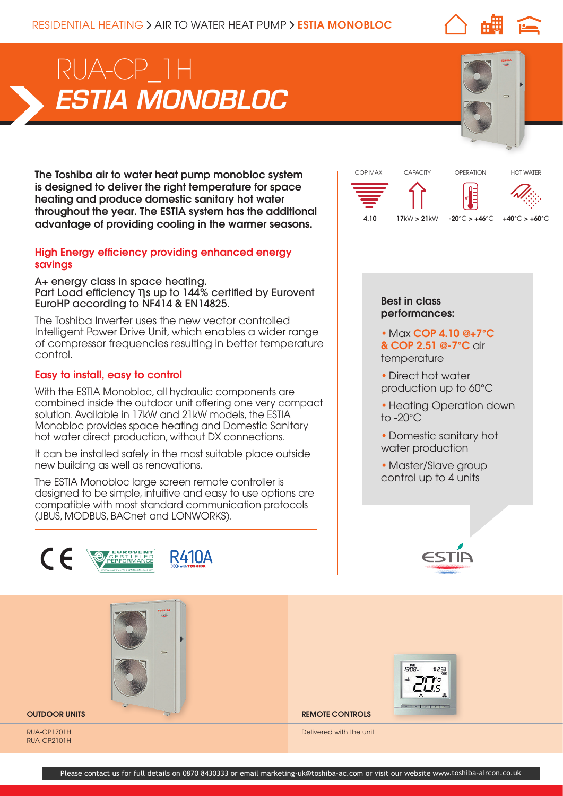# *ESTIA MONOBLOC* RUA-CP\_1H

The Toshiba air to water heat pump monobloc system is designed to deliver the right temperature for space heating and produce domestic sanitary hot water throughout the year. The ESTIA system has the additional advantage of providing cooling in the warmer seasons.

## High Energy efficiency providing enhanced energy savings

A+ energy class in space heating. Part Load efficiency ηs up to 144% certified by Eurovent EuroHP according to NF414 & EN14825.

The Toshiba Inverter uses the new vector controlled Intelligent Power Drive Unit, which enables a wider range of compressor frequencies resulting in better temperature control.

# Easy to install, easy to control

With the ESTIA Monobloc, all hydraulic components are combined inside the outdoor unit offering one very compact solution. Available in 17kW and 21kW models, the ESTIA Monobloc provides space heating and Domestic Sanitary hot water direct production, without DX connections.

It can be installed safely in the most suitable place outside new building as well as renovations.

The ESTIA Monobloc large screen remote controller is designed to be simple, intuitive and easy to use options are compatible with most standard communication protocols (JBUS, MODBUS, BACnet and LONWORKS).





## Best in class performances:

- Max COP 4.10 @+7°C & COP 2.51 @-7°C air temperature
- Direct hot water production up to 60°C
- Heating Operation down to -20°C
- Domestic sanitary hot water production
- Master/Slave group control up to 4 units





**OUTDOOR UNITS AND REMOTE CONTROLS** 

Delivered with the unit

RUA-CP1701H RUA-CP2101H